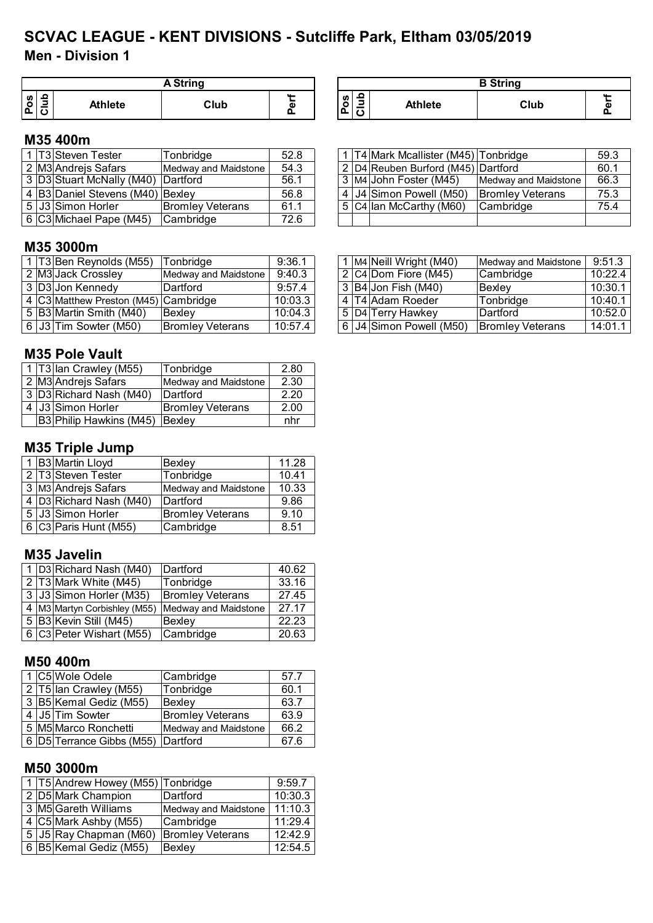# **Men - Division 1 SCVAC LEAGUE - KENT DIVISIONS - Sutcliffe Park, Eltham 03/05/2019**

|         | <b>A</b> String |                |      |   |  |  |  |  |  |
|---------|-----------------|----------------|------|---|--|--|--|--|--|
| ဖာ<br>O | ₽               | <b>Athlete</b> | Club | ው |  |  |  |  |  |

| <b>A String</b> |   |                                                     |                | <b>B</b> String |  |
|-----------------|---|-----------------------------------------------------|----------------|-----------------|--|
| Club            | л | 읔<br><b>S</b><br>$\circ$<br>-<br>$\mathbf C$<br>. ը | <b>Athlete</b> | Club            |  |

1 T4 Mark Mcallister (M45) Tonbridge 59.3<br>2 D4 Reuben Burford (M45) Dartford 60.1 2 D4 Reuben Burford (M45) Dartford<br>3 M4 John Foster (M45) Medway and Maidstone 66.3 3 M4 John Foster (M45) Medway and Maidstone

4 J4 Simon Powell (M50) Bromley Veterans | 75.3 5 C4 Ian McCarthy (M60) Cambridge 75.4

# **M35 400m**

|  | 1 T3 Steven Tester                     | Tonbridge               | 52.8 |
|--|----------------------------------------|-------------------------|------|
|  | 2 M3 Andrejs Safars                    | Medway and Maidstone    | 54.3 |
|  | 3 D3 Stuart McNally (M40) Dartford     |                         | 56.1 |
|  | 4   B3   Daniel Stevens (M40)   Bexley |                         | 56.8 |
|  | 5 J3 Simon Horler                      | <b>Bromley Veterans</b> | 61.1 |
|  | 6 C3 Michael Pape (M45)                | Cambridge               | 72.6 |

#### **M35 3000m**

|  | 1 T3 Ben Reynolds (M55)              | Tonbridge               | 9:36.1  |  | 1 M4 Neill Wright (M40)    | Medway and Maidstone    | 9:51.3  |
|--|--------------------------------------|-------------------------|---------|--|----------------------------|-------------------------|---------|
|  | 2 M3 Jack Crossley                   | Medway and Maidstone    | 9:40.3  |  | 2 C4 Dom Fiore (M45)       | <b>Cambridge</b>        | 10:22.4 |
|  | 3 D3 Jon Kennedy                     | lDartford.              | 9:57.4  |  | $3 B4 $ Jon Fish (M40)     | Bexlev                  | 10:30.1 |
|  | 4 C3 Matthew Preston (M45) Cambridge |                         | 10:03.3 |  | l 4 IT4 Adam Roeder        | Tonbridge               | 10:40.1 |
|  | 5 B3 Martin Smith (M40)              | Bexley                  | 10:04.3 |  | 5 D4 Terry Hawkey          | Dartford                | 10:52.0 |
|  | 6 J3 Tim Sowter (M50)                | <b>Bromley Veterans</b> | 10:57.4 |  | 6   J4  Simon Powell (M50) | <b>Bromley Veterans</b> | 14:01.1 |

#### **M35 Pole Vault**

|  | 1   T3   Ian Crawley (M55)            | Tonbridge               | 2.80 |
|--|---------------------------------------|-------------------------|------|
|  | 2 M3 Andrejs Safars                   | Medway and Maidstone    | 2.30 |
|  | 3 D3 Richard Nash (M40)               | Dartford                | 2.20 |
|  | 4 J3 Simon Horler                     | <b>Bromley Veterans</b> | 2.00 |
|  | <b>B3 Philip Hawkins (M45) Bexley</b> |                         | nhr  |

# **M35 Triple Jump**

|  | 1 B3 Martin Lloyd       | Bexley                  | 11.28 |
|--|-------------------------|-------------------------|-------|
|  | 2 T3 Steven Tester      | Tonbridge               | 10.41 |
|  | 3 M3 Andrejs Safars     | Medway and Maidstone    | 10.33 |
|  | 4 D3 Richard Nash (M40) | Dartford                | 9.86  |
|  | 5 J3 Simon Horler       | <b>Bromley Veterans</b> | 9.10  |
|  | 6 C3 Paris Hunt (M55)   | Cambridge               | 8.51  |

#### **M35 Javelin**

|  | 1 D3 Richard Nash (M40)      | Dartford                | 40.62 |
|--|------------------------------|-------------------------|-------|
|  |                              |                         |       |
|  | 2 T3 Mark White (M45)        | Tonbridge               | 33.16 |
|  | 3 J3 Simon Horler (M35)      | <b>Bromley Veterans</b> | 27.45 |
|  |                              |                         |       |
|  | 4 M3 Martyn Corbishley (M55) | Medway and Maidstone    | 27.17 |
|  | 5 B3 Kevin Still (M45)       | Bexley                  | 22.23 |
|  |                              |                         |       |
|  | 6 C3 Peter Wishart (M55)     | Cambridge               | 20.63 |

#### **M50 400m**

|  | 1 C5 Wole Odele                          | Cambridge               | 57.7 |
|--|------------------------------------------|-------------------------|------|
|  | 2 T5 lan Crawley (M55)                   | Tonbridge               | 60.1 |
|  | 3 B5 Kemal Gediz (M55)                   | Bexley                  | 63.7 |
|  | 4 J5 Tim Sowter                          | <b>Bromley Veterans</b> | 63.9 |
|  | 5 M5 Marco Ronchetti                     | Medway and Maidstone    | 66.2 |
|  | 6   D5   Terrance Gibbs (M55)   Dartford |                         | 67.6 |

#### **M50 3000m**

|  | 1   T5   Andrew Howey (M55)   Tonbridge |                         | 9:59.7  |
|--|-----------------------------------------|-------------------------|---------|
|  | 2 D5 Mark Champion                      | Dartford                | 10:30.3 |
|  | 3 M5 Gareth Williams                    | Medway and Maidstone    | 11:10.3 |
|  | 4 C5 Mark Ashby (M55)                   | Cambridge               | 11:29.4 |
|  | 5 J5 Ray Chapman (M60)                  | <b>Bromley Veterans</b> | 12:42.9 |
|  | 6 B5 Kemal Gediz (M55)                  | Bexley                  | 12:54.5 |

|  | 1   M4   Neill Wright (M40) | Medway and Maidstone    | 9:51.3  |
|--|-----------------------------|-------------------------|---------|
|  | 2 C4 Dom Fiore (M45)        | Cambridge               | 10:22.4 |
|  | 3 B4 Jon Fish (M40)         | Bexley                  | 10:30.1 |
|  | 4 T4 Adam Roeder            | Tonbridge               | 10:40.1 |
|  | 5   D4   Terry Hawkey       | Dartford                | 10:52.0 |
|  | 6 J4 Simon Powell (M50)     | <b>Bromley Veterans</b> | 14:01.1 |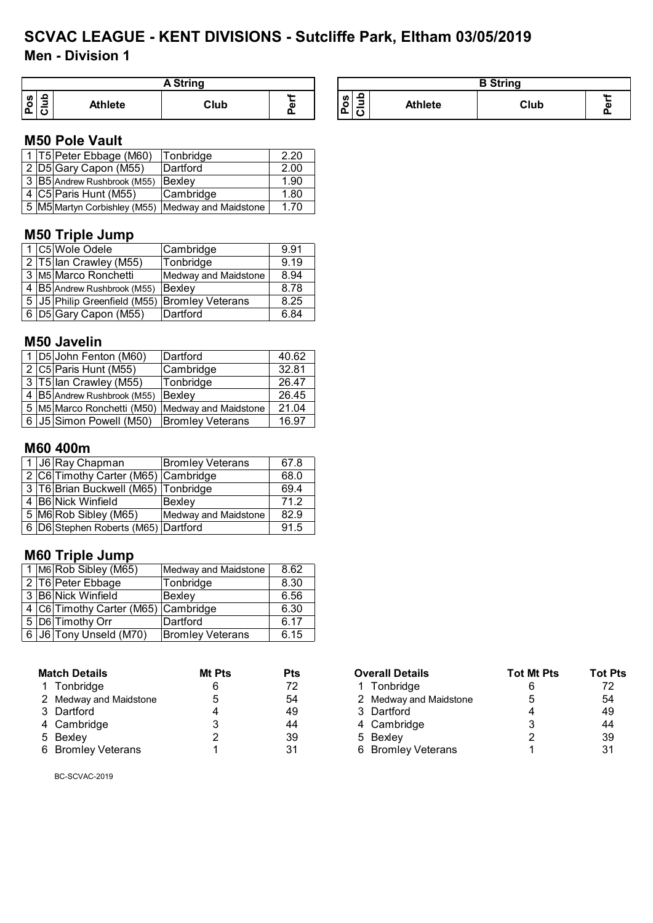# **Men - Division 1 SCVAC LEAGUE - KENT DIVISIONS - Sutcliffe Park, Eltham 03/05/2019**

| <b>String</b>                                   |                |      |        |                                |                | <b>B</b> String |  |
|-------------------------------------------------|----------------|------|--------|--------------------------------|----------------|-----------------|--|
| ≏<br>ဖာ<br>$\sim$<br>پ<br>-<br>. .<br>: ۱۵<br>ັ | <b>Athlete</b> | Club | $\sim$ | ₽<br><b>S</b><br>۰<br>IΔ.<br>╌ | <b>Athlete</b> | Club            |  |

#### **M50 Pole Vault**

|  | 1 T5 Peter Ebbage (M60)     | Tonbridge                                         | 2.20 |
|--|-----------------------------|---------------------------------------------------|------|
|  | 2 D5 Gary Capon (M55)       | Dartford                                          | 2.00 |
|  | 3 B5 Andrew Rushbrook (M55) | Bexley                                            | 1.90 |
|  | 4 C5 Paris Hunt (M55)       | Cambridge                                         | 1.80 |
|  |                             | 5 M5 Martyn Corbishley (M55) Medway and Maidstone | 1.70 |

# **M50 Triple Jump**

|  | 1 C5 Wole Odele                               | Cambridge            | 9.91 |
|--|-----------------------------------------------|----------------------|------|
|  | 2 T5 lan Crawley (M55)                        | Tonbridge            | 9.19 |
|  | 3 M5 Marco Ronchetti                          | Medway and Maidstone | 8.94 |
|  | 4 B5 Andrew Rushbrook (M55)                   | Bexley               | 8.78 |
|  | 5 J5 Philip Greenfield (M55) Bromley Veterans |                      | 8.25 |
|  | 6 D5 Gary Capon (M55)                         | Dartford             | 6.84 |

#### **M50 Javelin**

|  | 1 D5 John Fenton (M60)      | Dartford                | 40.62 |
|--|-----------------------------|-------------------------|-------|
|  | 2 C5 Paris Hunt (M55)       | Cambridge               | 32.81 |
|  | 3   T5   Ian Crawley (M55)  | Tonbridge               | 26.47 |
|  | 4 B5 Andrew Rushbrook (M55) | Bexley                  | 26.45 |
|  | 5 M5 Marco Ronchetti (M50)  | Medway and Maidstone    | 21.04 |
|  | 6   J5   Simon Powell (M50) | <b>Bromley Veterans</b> | 16.97 |

## **M60 400m**

|  | 1 J6 Ray Chapman                    | <b>Bromley Veterans</b> | 67.8 |
|--|-------------------------------------|-------------------------|------|
|  | 2 C6 Timothy Carter (M65) Cambridge |                         | 68.0 |
|  | 3 T6 Brian Buckwell (M65) Tonbridge |                         | 69.4 |
|  | 4 B6 Nick Winfield                  | Bexley                  | 712  |
|  | 5 M6 Rob Sibley (M65)               | Medway and Maidstone    | 82.9 |
|  | 6 D6 Stephen Roberts (M65) Dartford |                         | 91.5 |

# **M60 Triple Jump**

|  | 1 M6 Rob Sibley (M65)                     | Medway and Maidstone    | 8.62 |
|--|-------------------------------------------|-------------------------|------|
|  | 2 T6 Peter Ebbage                         | Tonbridge               | 8.30 |
|  | 3 B6 Nick Winfield                        | Bexley                  | 6.56 |
|  | 4   C6   Timothy Carter (M65)   Cambridge |                         | 6.30 |
|  | 5 D6 Timothy Orr                          | Dartford                | 6.17 |
|  | 6 J6 Tony Unseld (M70)                    | <b>Bromley Veterans</b> | 6.15 |

| <b>Match Details</b>   | <b>Mt Pts</b> | Pts |
|------------------------|---------------|-----|
| 1 Tonbridge            | 6             | 72  |
| 2 Medway and Maidstone | 5             | 54  |
| 3 Dartford             | 4             | 49  |
| 4 Cambridge            | 3             | 44  |
| 5 Bexley               | 2             | 39  |
| 6 Bromley Veterans     | 1             | 31  |

| <b>Match Details</b>   | Mt Pts | <b>Pts</b> | <b>Overall Details</b> | <b>Tot Mt Pts</b> | <b>Tot Pts</b> |
|------------------------|--------|------------|------------------------|-------------------|----------------|
| 1 Tonbridge            |        | 72         | Tonbridge              |                   | 72             |
| 2 Medway and Maidstone | 5      | 54         | 2 Medway and Maidstone | 5                 | 54             |
| 3 Dartford             |        | 49         | 3 Dartford             |                   | 49             |
| 4 Cambridge            |        | 44         | 4 Cambridge            |                   | 44             |
| 5 Bexley               |        | 39         | 5 Bexley               |                   | 39             |
| 6 Bromley Veterans     |        | 31         | 6 Bromley Veterans     |                   | 31             |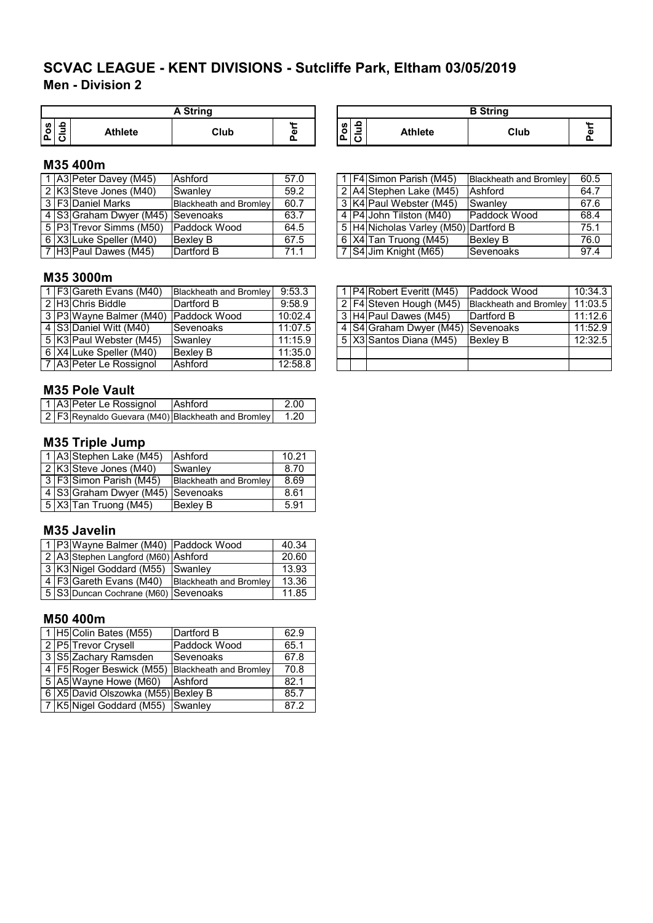# **Men - Division 2 SCVAC LEAGUE - KENT DIVISIONS - Sutcliffe Park, Eltham 03/05/2019**

|          |                | <b>A String</b> |               |
|----------|----------------|-----------------|---------------|
| ဖ<br>. o | <b>Athlete</b> | Club            | . .<br>ω<br>o |

#### **M35 400m**

|  | 1 A3 Peter Davey (M45)            | Ashford                       | 57.0 |  | 1 F4 Simon Parish (M45)               | <b>Blackheath and Bromley</b> | 60.5 |
|--|-----------------------------------|-------------------------------|------|--|---------------------------------------|-------------------------------|------|
|  | 2 K3 Steve Jones (M40)            | Swanley                       | 59.2 |  | 2 A4 Stephen Lake (M45)               | Ashford                       | 64.7 |
|  | 3   F3  Daniel Marks              | <b>Blackheath and Bromley</b> | 60.7 |  | 3 K4 Paul Webster (M45)               | Swanley                       | 67.6 |
|  | 4 S3 Graham Dwyer (M45) Sevenoaks |                               | 63.7 |  | 4   P4   John Tilston (M40)           | Paddock Wood                  | 68.4 |
|  | l 5  P3 Trevor Simms (M50)        | Paddock Wood                  | 64.5 |  | 5 H4 Nicholas Varley (M50) Dartford B |                               | 75.1 |
|  | 6 X3 Luke Speller (M40)           | Bexley B                      | 67.5 |  | $6$ X4 Tan Truong (M45)               | <b>Bexley B</b>               | 76.0 |
|  | 7 H3 Paul Dawes (M45)             | Dartford B                    | 71.1 |  | 7 S4 Jim Knight (M65)                 | <b>Sevenoaks</b>              | 97.4 |

| A String |   |                                                               |                | <b>B</b> String |  |
|----------|---|---------------------------------------------------------------|----------------|-----------------|--|
| Club     | α | ≏<br><b>S</b><br>-<br>ق<br>ت<br>$\overline{\phantom{a}}$<br>J | <b>Athlete</b> | Club            |  |

|  | 1   F4 Simon Parish (M45)             | <b>Blackheath and Bromley</b> | 60.5 |
|--|---------------------------------------|-------------------------------|------|
|  | 2 A4 Stephen Lake (M45)               | Ashford                       | 64.7 |
|  | 3 K4 Paul Webster (M45)               | Swanley                       | 67.6 |
|  | 4   P4 John Tilston (M40)             | Paddock Wood                  | 68.4 |
|  | 5 H4 Nicholas Varley (M50) Dartford B |                               | 75.1 |
|  | 6   X4   Tan Truong (M45)             | <b>Bexley B</b>               | 76.0 |
|  | 7 S4 Jim Knight (M65)                 | Sevenoaks                     | 97.4 |

#### **M35 3000m**

|  | $1$ F3 Gareth Evans (M40)            | Blackheath and Bromley 9:53.3 |         |  | 1 P4 Robert Everitt (M45)         | Paddock Wood                  | 10:34.3 |
|--|--------------------------------------|-------------------------------|---------|--|-----------------------------------|-------------------------------|---------|
|  | 2 H3 Chris Biddle                    | Dartford B                    | 9:58.9  |  | 2   F4 Steven Hough (M45)         | <b>Blackheath and Bromley</b> | 11:03.5 |
|  | 3 P3 Wayne Balmer (M40) Paddock Wood |                               | 10:02.4 |  | 3 H4 Paul Dawes (M45)             | Dartford B                    | 11:12.6 |
|  | 4 S3 Daniel Witt (M40)               | Sevenoaks                     | 11:07.5 |  | 4 S4 Graham Dwyer (M45) Sevenoaks |                               | 11:52.9 |
|  | 5 K3 Paul Webster (M45)              | Swanley                       | 11:15.9 |  | 5 X3 Santos Diana (M45)           | Bexley B                      | 12:32.5 |
|  | 6 X4 Luke Speller (M40)              | <b>Bexley B</b>               | 11:35.0 |  |                                   |                               |         |
|  | 7 A3 Peter Le Rossignol              | Ashford                       | 12:58.8 |  |                                   |                               |         |

#### **M35 Pole Vault**

|  | 1 A3 Peter Le Rossignol | <b>Ashford</b>                                     | -2.00   |
|--|-------------------------|----------------------------------------------------|---------|
|  |                         | 2 F3 Reynaldo Guevara (M40) Blackheath and Bromley | $-1.20$ |

# **M35 Triple Jump**

|  | 1 A3 Stephen Lake (M45)           | Ashford                       | 10.21 |
|--|-----------------------------------|-------------------------------|-------|
|  | 2 K3 Steve Jones (M40)            | Swanley                       | 8.70  |
|  | 3 F3 Simon Parish (M45)           | <b>Blackheath and Bromley</b> | 8.69  |
|  | 4 S3 Graham Dwyer (M45) Sevenoaks |                               | 8.61  |
|  | $\sqrt{5 X3 }$ Tan Truong (M45)   | <b>Bexley B</b>               | 5.91  |

#### **M35 Javelin**

|  | 1 P3 Wayne Balmer (M40) Paddock Wood |                               | 40.34 |
|--|--------------------------------------|-------------------------------|-------|
|  | 2 A3 Stephen Langford (M60) Ashford  |                               | 20.60 |
|  | 3 K3 Nigel Goddard (M55) Swanley     |                               | 13.93 |
|  | 4   F3 Gareth Evans (M40)            | <b>Blackheath and Bromley</b> | 13.36 |
|  | 5 S3 Duncan Cochrane (M60) Sevenoaks |                               | 11.85 |

#### **M50 400m**

|  | 1 H5 Colin Bates (M55)             | Dartford B                                            | 62.9 |
|--|------------------------------------|-------------------------------------------------------|------|
|  | 2 P5 Trevor Crysell                | Paddock Wood                                          | 65.1 |
|  | 3 S5 Zachary Ramsden               | Sevenoaks                                             | 67.8 |
|  |                                    | 4   F5   Roger Beswick (M55)   Blackheath and Bromley | 70.8 |
|  | 5 A5 Wayne Howe (M60)              | Ashford                                               | 82.1 |
|  | 6 X5 David Olszowka (M55) Bexley B |                                                       | 85.7 |
|  | 7 K5 Nigel Goddard (M55) Swanley   |                                                       | 87.2 |

|  | 1   P4   Robert Everitt (M45)         | Paddock Wood                  | 10:34.3 |
|--|---------------------------------------|-------------------------------|---------|
|  | 2 F4 Steven Hough (M45)               | <b>Blackheath and Bromley</b> | 11:03.5 |
|  | 3 H4 Paul Dawes (M45)                 | Dartford B                    | 11:12.6 |
|  | 4   S4 Graham Dwyer (M45)   Sevenoaks |                               | 11:52.9 |
|  | 5   X3   Santos Diana (M45)           | Bexley B                      | 12:32.5 |
|  |                                       |                               |         |
|  |                                       |                               |         |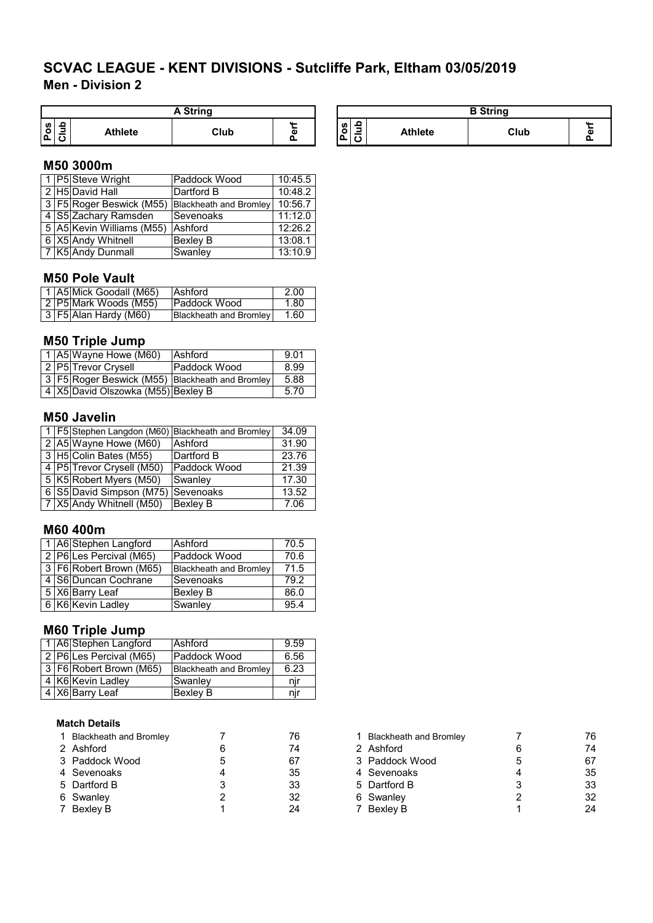# **Men - Division 2 SCVAC LEAGUE - KENT DIVISIONS - Sutcliffe Park, Eltham 03/05/2019**

|        |   |                | A String |   |
|--------|---|----------------|----------|---|
| w<br>o | 을 | <b>Athlete</b> | Club     | c |

| A String |   |          | <b>B</b> String                                       |         |      |                          |
|----------|---|----------|-------------------------------------------------------|---------|------|--------------------------|
| Club     | Œ | $\Omega$ | $\Omega$<br><b>S</b><br>-<br>ے<br>$\overline{ }$<br>◡ | Athlete | Club | $\mathbf{u}$<br>Œ<br>. . |

# **M50 3000m**

|  | 1 P5 Steve Wright            | Paddock Wood                  | 10:45.5 |
|--|------------------------------|-------------------------------|---------|
|  | 2 H5 David Hall              | Dartford B                    | 10:48.2 |
|  | 3   F5   Roger Beswick (M55) | <b>Blackheath and Bromley</b> | 10:56.7 |
|  | 4 S5 Zachary Ramsden         | ISevenoaks                    | 11:12.0 |
|  | 5 A5 Kevin Williams (M55)    | Ashford                       | 12:26.2 |
|  | 6 X5 Andy Whitnell           | <b>Bexley B</b>               | 13:08.1 |
|  | 7 K5 Andy Dunmall            | Swanley                       | 13:10.9 |

#### **M50 Pole Vault**

|  | l 1 IA5IMick Goodall (M65) | <b>Ashford</b>         | 2.00 |
|--|----------------------------|------------------------|------|
|  | 2   P5  Mark Woods (M55)   | <b>IPaddock Wood</b>   | 1.80 |
|  | 3 F5 Alan Hardy (M60)      | Blackheath and Bromley | 1.60 |

#### **M50 Triple Jump**

|  | 1   A5 Wayne Howe (M60)            | Ashford                                         | 9.01 |
|--|------------------------------------|-------------------------------------------------|------|
|  | 2 P5 Trevor Crysell                | Paddock Wood                                    | 8.99 |
|  |                                    | 3 F5 Roger Beswick (M55) Blackheath and Bromley | 5.88 |
|  | 4 X5 David Olszowka (M55) Bexley B |                                                 | 5.70 |

#### **M50 Javelin**

|  |                                    | 1   F5 Stephen Langdon (M60)   Blackheath and Bromley | 34.09 |
|--|------------------------------------|-------------------------------------------------------|-------|
|  | 2 A5 Wayne Howe (M60)              | Ashford                                               | 31.90 |
|  | 3 H5 Colin Bates (M55)             | Dartford B                                            | 23.76 |
|  | 4   P5   Trevor Crysell (M50)      | Paddock Wood                                          | 21.39 |
|  | 5 K5 Robert Myers (M50)            | Swanley                                               | 17.30 |
|  | 6 S5 David Simpson (M75) Sevenoaks |                                                       | 13.52 |
|  | 7 X5 Andy Whitnell (M50)           | Bexley B                                              | 7.06  |

#### **M60 400m**

|  | 1 A6 Stephen Langford   | Ashford                       | 70.5 |
|--|-------------------------|-------------------------------|------|
|  | 2 P6 Les Percival (M65) | Paddock Wood                  | 70.6 |
|  | 3 F6 Robert Brown (M65) | <b>Blackheath and Bromley</b> | 71.5 |
|  | 4 S6 Duncan Cochrane    | Sevenoaks                     | 79.2 |
|  | 5 X6 Barry Leaf         | <b>Bexley B</b>               | 86.0 |
|  | 6 K6 Kevin Ladley       | Swanley                       | 95.4 |

# **M60 Triple Jump**

|  | 1   A6 Stephen Langford     | Ashford                       | 9.59 |
|--|-----------------------------|-------------------------------|------|
|  | 2 P6 Les Percival (M65)     | Paddock Wood                  | 6.56 |
|  | 3   F6   Robert Brown (M65) | <b>Blackheath and Bromley</b> | 6.23 |
|  | 4 K6 Kevin Ladley           | Swanlev                       | nır  |
|  | 4 X6 Barry Leaf             | Bexley B                      | nır  |

#### **Match Details**

| 1 Blackheath and Bromley | 76 | <b>Blackheath and Bromley</b> | 76 |
|--------------------------|----|-------------------------------|----|
| 2 Ashford                | 74 | 2 Ashford                     | 74 |
| 3 Paddock Wood           | 67 | 3 Paddock Wood                | 67 |
| 4 Sevenoaks              | 35 | 4 Sevenoaks                   | 35 |
| 5 Dartford B             | 33 | 5 Dartford B                  | 33 |
| 6 Swanley                | 32 | 6 Swanley                     | 32 |
| 7 Bexley B               | 24 | 7 Bexley B                    | 24 |

| 1 Blackheath and Bromley |   | 76 |
|--------------------------|---|----|
| 2 Ashford                | 6 | 74 |
| 3 Paddock Wood           | 5 | 67 |
| 4 Sevenoaks              |   | 35 |
| 5 Dartford B             | 3 | 33 |
| 6 Swanley                | 2 | 32 |
| 7 Bexley B               | 1 | 24 |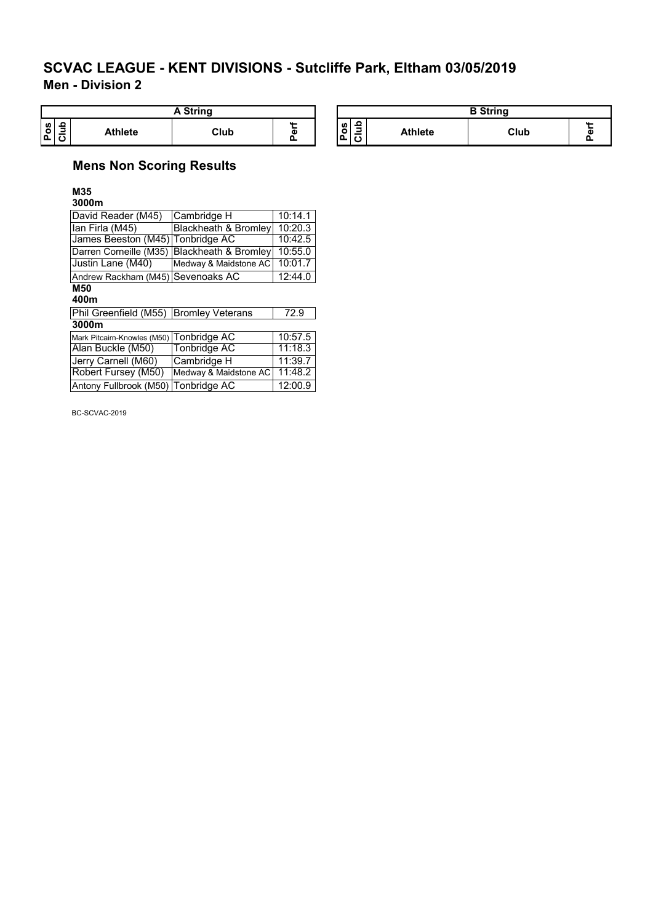**Men - Division 2**

| String                  |                |      |              |                                                                |                | <b>B</b> String |  |
|-------------------------|----------------|------|--------------|----------------------------------------------------------------|----------------|-----------------|--|
| $rac{1}{20}$<br>ō<br>Δ. | <b>Athlete</b> | Club | $\sim$<br>пı | <b>S</b><br>_<br>$\overline{\phantom{0}}$<br>-<br>-<br>ட<br>л. | <b>Athlete</b> | Club            |  |

# **Mens Non Scoring Results**

**M35 3000m**

| David Reader (M45)                       | Cambridge H                     | 10:14.1 |
|------------------------------------------|---------------------------------|---------|
| Ian Firla (M45)                          | Blackheath & Bromley            | 10:20.3 |
| James Beeston (M45) Tonbridge AC         |                                 | 10:42.5 |
| Darren Corneille (M35)                   | <b>Blackheath &amp; Bromley</b> | 10:55.0 |
| Justin Lane (M40)                        | Medway & Maidstone AC           | 10:01.7 |
| Andrew Rackham (M45) Sevenoaks AC        |                                 | 12:44.0 |
| M50                                      |                                 |         |
| 400m                                     |                                 |         |
| Phil Greenfield (M55) Bromley Veterans   |                                 | 72.9    |
| 3000m                                    |                                 |         |
| Mark Pitcairn-Knowles (M50) Tonbridge AC |                                 | 10:57.5 |

| <b>NO TUBER PICAL DESCRIPTION CONTINUES (INCOC)</b> |                               | 10.J <i>L</i> .J |
|-----------------------------------------------------|-------------------------------|------------------|
| Alan Buckle (M50)                                   | Tonbridge AC                  | 11:18.3          |
| Jerry Carnell (M60)                                 | Cambridge H                   | 11:39.7          |
| <b>Robert Fursey (M50)</b>                          | Medway & Maidstone AC 11:48.2 |                  |
| Antony Fullbrook (M50) Tonbridge AC                 |                               | 12:00.9          |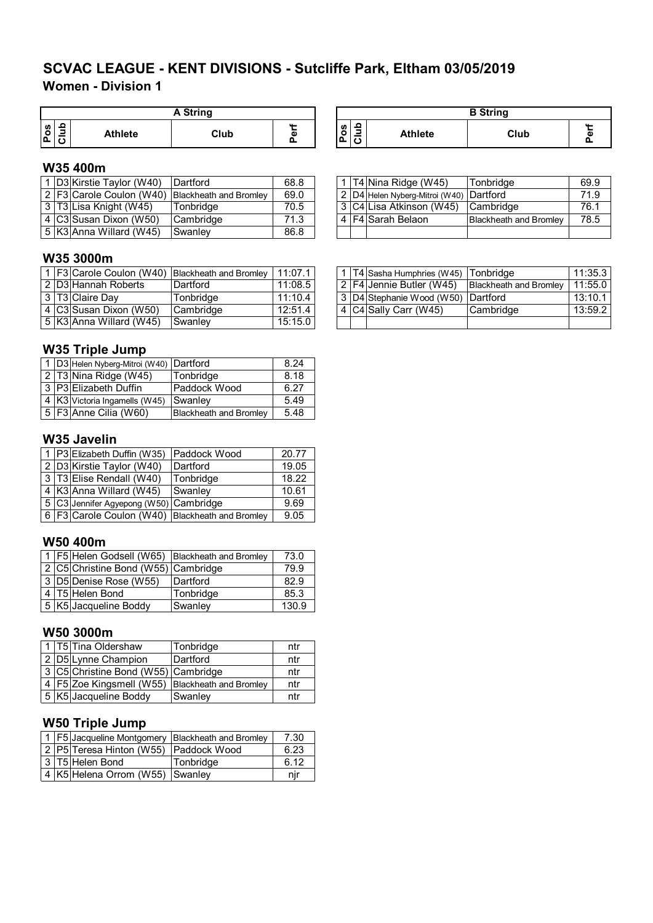# **Women - Division 1 SCVAC LEAGUE - KENT DIVISIONS - Sutcliffe Park, Eltham 03/05/2019**

|      |   |                | A String |               |
|------|---|----------------|----------|---------------|
| ပ္ပိ | ٥ | <b>Athlete</b> | Club     | . .<br>ω<br>o |

#### **W35 400m**

|  | D3 Kirstie Taylor (W40)  | <b>IDartford</b>                                | 68.8 |  | 1 T4 Nina Ridge (W45)                   | Tonbridge                     | 69.9 |
|--|--------------------------|-------------------------------------------------|------|--|-----------------------------------------|-------------------------------|------|
|  |                          | 2 F3 Carole Coulon (W40) Blackheath and Bromley | 69.0 |  | 2 D4 Helen Nyberg-Mitroi (W40) Dartford |                               | 71.9 |
|  | 3 T3 Lisa Knight (W45)   | Tonbridge                                       | 70.5 |  | 3 C4 Lisa Atkinson (W45)                | <b>Cambridge</b>              | 76.1 |
|  | 4 C3 Susan Dixon (W50)   | Cambridge                                       | 71.3 |  | 4 F4 Sarah Belaon                       | <b>Blackheath and Bromley</b> | 78.5 |
|  | 5  K3 Anna Willard (W45) | Swanley                                         | 86.8 |  |                                         |                               |      |

#### **W35 3000m**

|  |                          | 1 F3 Carole Coulon (W40) Blackheath and Bromley | 11:07.1 |  | . 1 T4 Sasha Humphries (W45) Tonbridge          |           | 11:35.3 |
|--|--------------------------|-------------------------------------------------|---------|--|-------------------------------------------------|-----------|---------|
|  | 2 D3 Hannah Roberts      | Dartford                                        | 11:08.5 |  | 2 F4 Jennie Butler (W45) Blackheath and Bromley |           | 11:55.0 |
|  | 3 T3 Claire Day          | Tonbridae                                       | 11:10.4 |  | 3 D4 Stephanie Wood (W50) Dartford              |           | 13:10.1 |
|  | 4  C3 Susan Dixon (W50)  | Cambridge                                       | 12:51.4 |  | 4 C4 Sally Carr (W45)                           | Cambridge | 13:59.2 |
|  | 5  K3 Anna Willard (W45) | Swanlev                                         | 15:15.0 |  |                                                 |           |         |

#### **W35 Triple Jump**

|  | 1 D3 Helen Nyberg-Mitroi (W40) Dartford |                               | 8.24 |  |  |  |  |  |
|--|-----------------------------------------|-------------------------------|------|--|--|--|--|--|
|  | 2 T3 Nina Ridge (W45)                   | Tonbridge                     | 8.18 |  |  |  |  |  |
|  | 3 P3 Elizabeth Duffin                   | Paddock Wood                  | 6.27 |  |  |  |  |  |
|  | 4 K3 Victoria Ingamells (W45)           | Swanley                       | 5.49 |  |  |  |  |  |
|  | $\sqrt{5}$ F3 Anne Cilia (W60)          | <b>Blackheath and Bromley</b> | 5.48 |  |  |  |  |  |

#### **W35 Javelin**

|  | 1 P3 Elizabeth Duffin (W35)                         | Paddock Wood | 20.77 |
|--|-----------------------------------------------------|--------------|-------|
|  | 2 D3 Kirstie Taylor (W40)                           | Dartford     | 19.05 |
|  | 3 T3 Elise Rendall (W40)                            | Tonbridge    | 18.22 |
|  | 4 K3 Anna Willard (W45)                             | Swanley      | 10.61 |
|  | 5 C3 Jennifer Agyepong (W50) Cambridge              |              | 9.69  |
|  | 6   F3 Carole Coulon (W40)   Blackheath and Bromley |              | 9.05  |

#### **W50 400m**

|  | 1   F5 Helen Godsell (W65)   Blackheath and Bromley |           | 73.0  |
|--|-----------------------------------------------------|-----------|-------|
|  | 2 C5 Christine Bond (W55) Cambridge                 |           | 79.9  |
|  | 3 D5 Denise Rose (W55)                              | Dartford  | 82.9  |
|  | 4 T5 Helen Bond                                     | Tonbridge | 85.3  |
|  | 5 K5 Jacqueline Boddy                               | Swanley   | 130.9 |

#### **W50 3000m**

|  | 1 T5 Tina Oldershaw                 | Tonbridge                     | ntr |
|--|-------------------------------------|-------------------------------|-----|
|  | 2 D5 Lynne Champion                 | Dartford                      | ntr |
|  | 3 C5 Christine Bond (W55) Cambridge |                               | ntr |
|  | 4   F5 Zoe Kingsmell (W55)          | <b>Blackheath and Bromley</b> | ntr |
|  | 5 K5 Jacqueline Boddy               | Swanley                       | ntr |

# **W50 Triple Jump**

|  | 1   F5 Jacqueline Montgomery   Blackheath and Bromley |           | 7.30 |
|--|-------------------------------------------------------|-----------|------|
|  | 2 P5 Teresa Hinton (W55) Paddock Wood                 |           | 6.23 |
|  | 3 T5 Helen Bond                                       | Tonbridge | 6.12 |
|  | 4 K5 Helena Orrom (W55) Swanley                       |           | nır  |

| <b>A String</b> |   | <b>B</b> String           |                |      |  |  |
|-----------------|---|---------------------------|----------------|------|--|--|
| Club            | α | ₽<br>n<br>o<br>-<br>ո<br> | <b>Athlete</b> | Club |  |  |

|  | 1   T4 Nina Ridge (W45)                 | Tonbridge                     | 69.9 |
|--|-----------------------------------------|-------------------------------|------|
|  | 2 D4 Helen Nyberg-Mitroi (W40) Dartford |                               | 71.9 |
|  | 3 C4 Lisa Atkinson (W45) Cambridge      |                               | 76.1 |
|  | 4 F4 Sarah Belaon                       | <b>Blackheath and Bromley</b> | 78.5 |
|  |                                         |                               |      |

|  | 1   T4 Sasha Humphries (W45)   Tonbridge |                               | 11:35.3 |
|--|------------------------------------------|-------------------------------|---------|
|  | 2 F4 Jennie Butler (W45)                 | <b>Blackheath and Bromley</b> | 11:55.0 |
|  | 3 D4 Stephanie Wood (W50) Dartford       |                               | 13:10.1 |
|  | C4 Sally Carr (W45)                      | Cambridge                     | 13:59.2 |
|  |                                          |                               |         |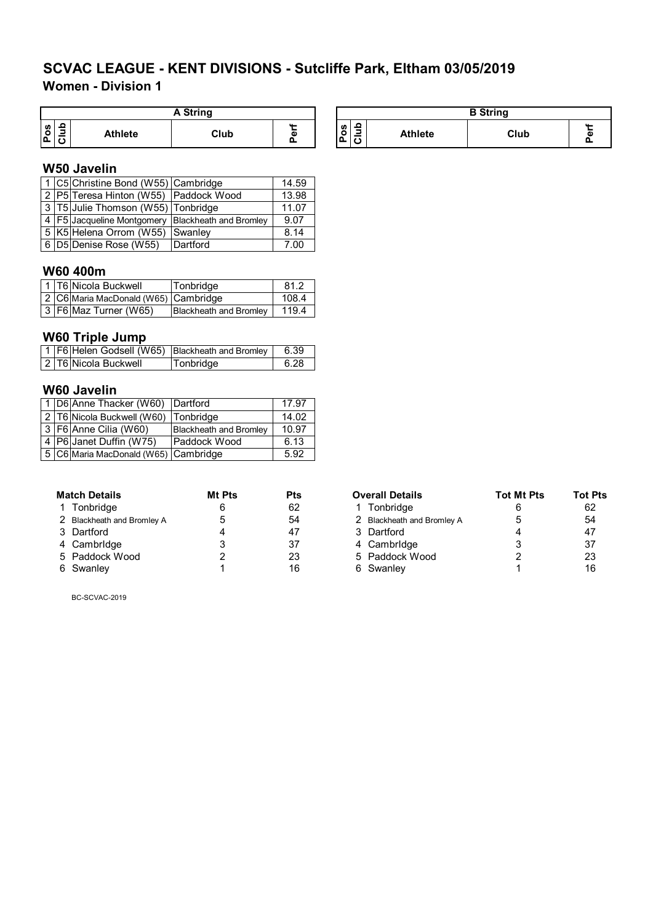# **Women - Division 1**

|              | A String |                |      |        |  |  |  |  |
|--------------|----------|----------------|------|--------|--|--|--|--|
| ဖ<br>$\circ$ | Ω<br>⋍   | <b>Athlete</b> | Club | Φ<br>Q |  |  |  |  |

#### **W50 Javelin**

|  | 1 C5 Christine Bond (W55) Cambridge                   |          | 14.59 |
|--|-------------------------------------------------------|----------|-------|
|  | 2 P5 Teresa Hinton (W55) Paddock Wood                 |          | 13.98 |
|  | 3   T5 Julie Thomson (W55)   Tonbridge                |          | 11.07 |
|  | 4   F5 Jacqueline Montgomery   Blackheath and Bromley |          | 9.07  |
|  | 5 K5 Helena Orrom (W55)                               | Swanley  | 8.14  |
|  | 6 D5 Denise Rose (W55)                                | Dartford | 7.00  |

# **W60 400m**

|  | 1 T6 Nicola Buckwell                 | Tonbridge                     | 81.2  |
|--|--------------------------------------|-------------------------------|-------|
|  | 2 C6 Maria MacDonald (W65) Cambridge |                               | 108.4 |
|  | 3   F6   Maz Turner (W65)            | <b>Blackheath and Bromley</b> | 1194  |

#### **W60 Triple Jump**

|  | 1   F6   Helen Godsell (W65)   Blackheath and Bromley |           | 6.39 |
|--|-------------------------------------------------------|-----------|------|
|  | 2 T6 Nicola Buckwell                                  | Tonbridge | 6.28 |

#### **W60 Javelin**

|  | 1 D6 Anne Thacker (W60) Dartford     |                               | 17.97 |
|--|--------------------------------------|-------------------------------|-------|
|  | 2 T6 Nicola Buckwell (W60) Tonbridge |                               | 14.02 |
|  | 3 F6 Anne Cilia (W60)                | <b>Blackheath and Bromley</b> | 10.97 |
|  | 4   P6 Janet Duffin (W75)            | Paddock Wood                  | 6.13  |
|  | 5 C6 Maria MacDonald (W65) Cambridge |                               | 5.92  |

| <b>Match Details</b>       | <b>Mt Pts</b> | Pts |
|----------------------------|---------------|-----|
| 1 Tonbridge                | 6             | 62  |
| 2 Blackheath and Bromley A | 5             | 54  |
| 3 Dartford                 | 4             | 47  |
| 4 Cambridge                | 3             | 37  |
| 5 Paddock Wood             | 2             | 23  |
| 6 Swanley                  | 1             | 16  |

| A String |   |    | <b>B</b> String        |                |      |            |  |
|----------|---|----|------------------------|----------------|------|------------|--|
| Club     | ω | ш. | 욬<br>w<br>o<br>$\cdot$ | <b>Athlete</b> | Club | <b>AAL</b> |  |

| Match Details              | Mt Pts | <b>Pts</b> | <b>Overall Details</b>     | <b>Tot Mt Pts</b> | <b>Tot Pts</b> |  |
|----------------------------|--------|------------|----------------------------|-------------------|----------------|--|
| 1 Tonbridge                |        | 62         | Tonbridge                  |                   | 62             |  |
| 2 Blackheath and Bromley A |        | 54         | 2 Blackheath and Bromley A |                   | 54             |  |
| 3 Dartford                 |        | 47         | 3 Dartford                 |                   | 47             |  |
| 4 Cambridge                |        | 37         | 4 Cambridge                |                   | 37             |  |
| 5 Paddock Wood             |        | 23         | 5 Paddock Wood             |                   | 23             |  |
| 6 Swanley                  |        | 16         | 6 Swanley                  |                   | 16             |  |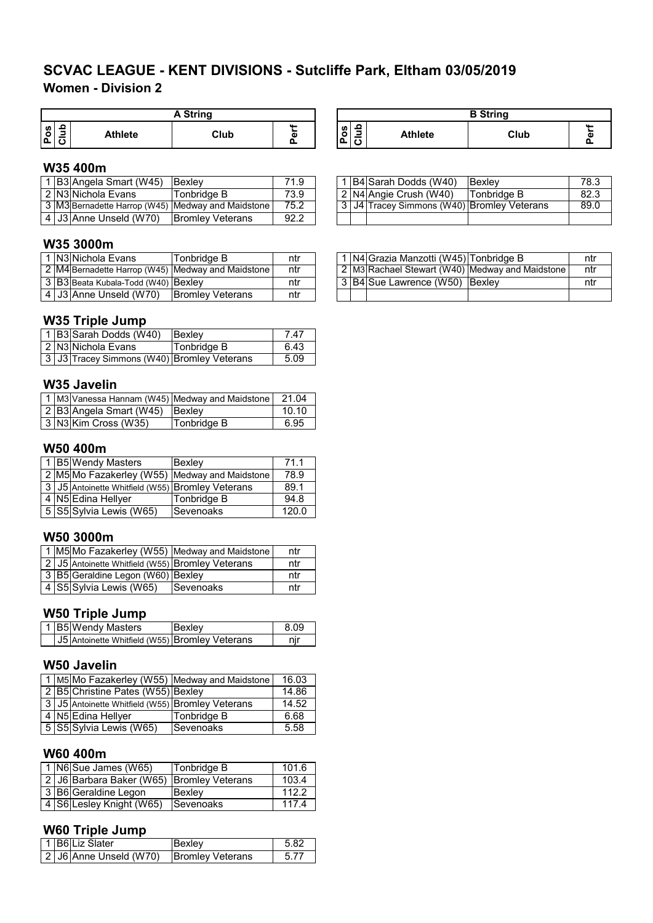## **Women - Division 2**

|         | <b>A</b> String |                |      |   |  |  |  |  |
|---------|-----------------|----------------|------|---|--|--|--|--|
| U,<br>o | g               | <b>Athlete</b> | Club | ω |  |  |  |  |

#### **W35 400m**

|  | . B3 Angela Smart (W45) | <b>Bexlev</b>                                     | 71.9 |  | 1 B4 Sarah Dodds (W40)                     | Bexley      | 78.3 |
|--|-------------------------|---------------------------------------------------|------|--|--------------------------------------------|-------------|------|
|  | 2 N3 Nichola Evans      | Tonbridae B                                       | 73.9 |  | 2 IN4 Angie Crush (W40)                    | Tonbridge B | 82.3 |
|  |                         | 3 M3 Bernadette Harrop (W45) Medway and Maidstone | 75.2 |  | 3 J4 Tracey Simmons (W40) Bromley Veterans |             | 89.C |
|  | 4 J3 Anne Unseld (W70)  | IBromlev Veterans                                 | 92.2 |  |                                            |             |      |

#### **W35 3000m**

|  | N3 Nichola Evans                    | Tonbridge B                                       | ntr |  | l IN4IGrazia Manzotti (W45)ITonbridge B |                                                  | ntı |
|--|-------------------------------------|---------------------------------------------------|-----|--|-----------------------------------------|--------------------------------------------------|-----|
|  |                                     | 2 M4 Bernadette Harrop (W45) Medway and Maidstone | ntr |  |                                         | 2 IM3 Rachael Stewart (W40) Medway and Maidstone | ntı |
|  | 3 B3 Beata Kubala-Todd (W40) Bexley |                                                   | ntr |  | 3 B4 Sue Lawrence (W50) Bexley          |                                                  | ntı |
|  | 4 J3 Anne Unseld (W70)              | <b>Bromley Veterans</b>                           | ntr |  |                                         |                                                  |     |

#### **W35 Triple Jump**

|  | 1 B3 Sarah Dodds (W40)                     | Bexley      | 747  |
|--|--------------------------------------------|-------------|------|
|  | 2 N3 Nichola Evans                         | Tonbridge B | 6.43 |
|  | 3 J3 Tracey Simmons (W40) Bromley Veterans |             | 5.09 |

#### **W35 Javelin**

|  |                                | 1 M3 Vanessa Hannam (W45) Medway and Maidstone | 21.04 |
|--|--------------------------------|------------------------------------------------|-------|
|  | 2 B3 Angela Smart (W45) Bexley |                                                | 10.10 |
|  | 3 N3 Kim Cross (W35)           | Tonbridge B                                    | 6.95  |

#### **W50 400m**

|  | 1 B5 Wendy Masters                                | Bexlev                                        | 71.1  |
|--|---------------------------------------------------|-----------------------------------------------|-------|
|  |                                                   | 2 M5 Mo Fazakerley (W55) Medway and Maidstone | 78.9  |
|  | 3 JJ5 Antoinette Whitfield (W55) Bromley Veterans |                                               | 89.1  |
|  | 4 N5 Edina Hellyer                                | Tonbridge B                                   | 94.8  |
|  | 5 S5 Sylvia Lewis (W65)                           | Sevenoaks                                     | 120.0 |

#### **W50 3000m**

|  |                                                  | 1 M5 Mo Fazakerley (W55) Medway and Maidstone | ntr |
|--|--------------------------------------------------|-----------------------------------------------|-----|
|  | 2 J5 Antoinette Whitfield (W55) Bromley Veterans |                                               | ntr |
|  | 3 B5 Geraldine Legon (W60) Bexley                |                                               | ntr |
|  | 4 S5 Sylvia Lewis (W65)                          | Sevenoaks                                     | ntr |

#### **W50 Triple Jump**

|  | 1 B5 Wendy Masters                                    | Bexlev | 8 Q. |
|--|-------------------------------------------------------|--------|------|
|  | <b>J5</b> Antoinette Whitfield (W55) Bromley Veterans |        |      |

#### **W50 Javelin**

|  |                                                   | 1   M5 Mo Fazakerley (W55)   Medway and Maidstone | 16.03 |
|--|---------------------------------------------------|---------------------------------------------------|-------|
|  | 2 B5 Christine Pates (W55) Bexley                 |                                                   | 14.86 |
|  | 3 JJ5 Antoinette Whitfield (W55) Bromley Veterans |                                                   | 14.52 |
|  | 4 N5 Edina Hellyer                                | Tonbridge B                                       | 6.68  |
|  | 5 S5 Sylvia Lewis (W65)                           | Sevenoaks                                         | 5.58  |

#### **W60 400m**

|  | $\vert$ 1 $\vert$ N6 $\vert$ Sue James (W65) | Tonbridge B | 101.6 |
|--|----------------------------------------------|-------------|-------|
|  | 2 J6 Barbara Baker (W65) Bromley Veterans    |             | 103.4 |
|  | 3 B6 Geraldine Legon                         | Bexlev      | 112.2 |
|  | 4 S6 Lesley Knight (W65)                     | Sevenoaks   | 117.4 |

#### **W60 Triple Jump**

|  | _______<br>l 1 IB6ILiz Slater | Bexley                  | 5.82 |
|--|-------------------------------|-------------------------|------|
|  | 2 J6 Anne Unseld (W70)        | <b>Bromley Veterans</b> | 5.77 |

| A String |          |                                                                         |                | <b>B</b> String |  |
|----------|----------|-------------------------------------------------------------------------|----------------|-----------------|--|
| Club     | ω<br>. . | ء<br>w<br>$\circ$<br>ت<br>$\overline{\phantom{a}}$<br>$\mathbf{a}$<br>u | <b>Athlete</b> | Club            |  |

|  | 1 B4 Sarah Dodds (W40)                     | Bexley      | 78.3 |
|--|--------------------------------------------|-------------|------|
|  | 2 N4 Angie Crush (W40)                     | Tonbridge B | 82.3 |
|  | 3 J4 Tracey Simmons (W40) Bromley Veterans |             | 89.0 |
|  |                                            |             |      |

|  | 1 N4 Grazia Manzotti (W45) Tonbridge B |                                                 | ntr |
|--|----------------------------------------|-------------------------------------------------|-----|
|  |                                        | 2 M3 Rachael Stewart (W40) Medway and Maidstone | ntr |
|  | 3 B4 Sue Lawrence (W50) Bexley         |                                                 | ntr |
|  |                                        |                                                 |     |